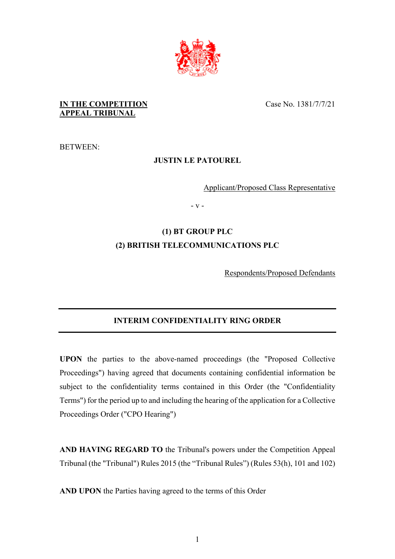

## **IN THE COMPETITION APPEAL TRIBUNAL**

BETWEEN:

## **JUSTIN LE PATOUREL**

Applicant/Proposed Class Representative

- v -

# **(1) BT GROUP PLC (2) BRITISH TELECOMMUNICATIONS PLC**

Respondents/Proposed Defendants

## **INTERIM CONFIDENTIALITY RING ORDER**

**UPON** the parties to the above-named proceedings (the "Proposed Collective Proceedings") having agreed that documents containing confidential information be subject to the confidentiality terms contained in this Order (the "Confidentiality Terms") for the period up to and including the hearing of the application for a Collective Proceedings Order ("CPO Hearing")

**AND HAVING REGARD TO** the Tribunal's powers under the Competition Appeal Tribunal (the "Tribunal") Rules 2015 (the "Tribunal Rules") (Rules 53(h), 101 and 102)

**AND UPON** the Parties having agreed to the terms of this Order

Case No. 1381/7/7/21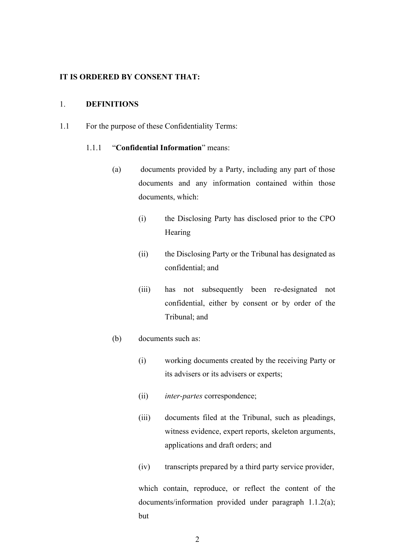### **IT IS ORDERED BY CONSENT THAT:**

### 1. **DEFINITIONS**

<span id="page-1-0"></span>1.1 For the purpose of these Confidentiality Terms:

#### 1.1.1 "**Confidential Information**" means:

- <span id="page-1-2"></span>(a) documents provided by a Party, including any part of those documents and any information contained within those documents, which:
	- (i) the Disclosing Party has disclosed prior to the CPO Hearing
	- (ii) the Disclosing Party or the Tribunal has designated as confidential; and
	- (iii) has not subsequently been re-designated not confidential, either by consent or by order of the Tribunal; and
- <span id="page-1-1"></span>(b) documents such as:
	- (i) working documents created by the receiving Party or its advisers or its advisers or experts;
	- (ii) *inter-partes* correspondence;
	- (iii) documents filed at the Tribunal, such as pleadings, witness evidence, expert reports, skeleton arguments, applications and draft orders; and
	- (iv) transcripts prepared by a third party service provider,

which contain, reproduce, or reflect the content of the documents/information provided under paragraph 1.1.2(a); but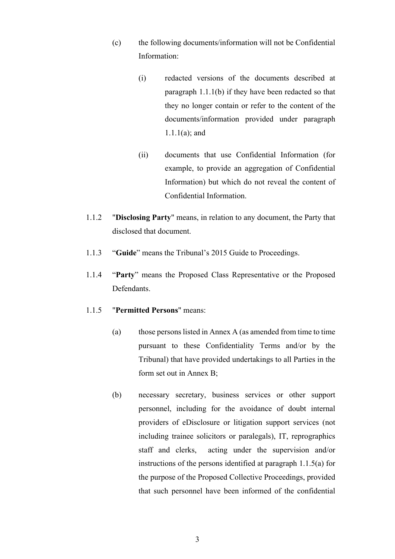- (c) the following documents/information will not be Confidential Information:
	- (i) redacted versions of the documents described at paragraph [1.1.1](#page-1-0)[\(b\)](#page-1-1) if they have been redacted so that they no longer contain or refer to the content of the documents/information provided under paragraph [1.1.1](#page-1-0)[\(a\);](#page-1-2) and
	- (ii) documents that use Confidential Information (for example, to provide an aggregation of Confidential Information) but which do not reveal the content of Confidential Information.
- 1.1.2 "**Disclosing Party**" means, in relation to any document, the Party that disclosed that document.
- 1.1.3 "**Guide**" means the Tribunal's 2015 Guide to Proceedings.
- 1.1.4 "**Party**" means the Proposed Class Representative or the Proposed Defendants.
- <span id="page-2-1"></span><span id="page-2-0"></span>1.1.5 "**Permitted Persons**" means:
	- (a) those persons listed in Annex A (as amended from time to time pursuant to these Confidentiality Terms and/or by the Tribunal) that have provided undertakings to all Parties in the form set out in Annex B;
	- (b) necessary secretary, business services or other support personnel, including for the avoidance of doubt internal providers of eDisclosure or litigation support services (not including trainee solicitors or paralegals), IT, reprographics staff and clerks, acting under the supervision and/or instructions of the persons identified at paragraph [1.1.5](#page-2-0)[\(a\)](#page-2-1) for the purpose of the Proposed Collective Proceedings, provided that such personnel have been informed of the confidential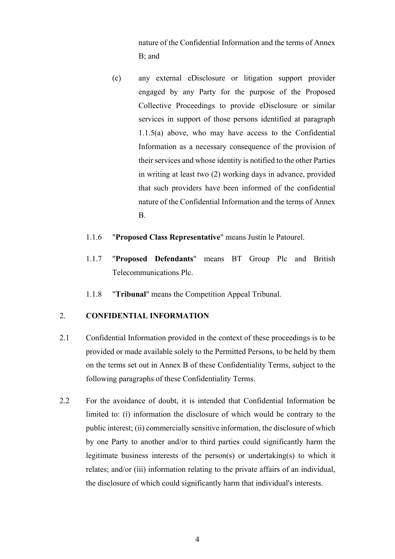nature of the Confidential Information and the terms of Annex B; and

- (c) any external eDisclosure or litigation support provider engaged by any Party for the purpose of the Proposed Collective Proceedings to provide eDisclosure or similar services in support of those persons identified at paragraph [1.1.5](#page-2-0)[\(a\)](#page-2-1) above, who may have access to the Confidential Information as a necessary consequence of the provision of their services and whose identity is notified to the other Parties in writing at least two (2) working days in advance, provided that such providers have been informed of the confidential nature of the Confidential Information and the terms of Annex B.
- 1.1.6 "**Proposed Class Representative**" means Justin le Patourel.
- 1.1.7 "**Proposed Defendants**" means BT Group Plc and British Telecommunications Plc.
- 1.1.8 "**Tribunal**" means the Competition Appeal Tribunal.

### 2. **CONFIDENTIAL INFORMATION**

- 2.1 Confidential Information provided in the context of these proceedings is to be provided or made available solely to the Permitted Persons, to be held by them on the terms set out in Annex B of these Confidentiality Terms, subject to the following paragraphs of these Confidentiality Terms.
- 2.2 For the avoidance of doubt, it is intended that Confidential Information be limited to: (i) information the disclosure of which would be contrary to the public interest; (ii) commercially sensitive information, the disclosure of which by one Party to another and/or to third parties could significantly harm the legitimate business interests of the person(s) or undertaking(s) to which it relates; and/or (iii) information relating to the private affairs of an individual, the disclosure of which could significantly harm that individual's interests.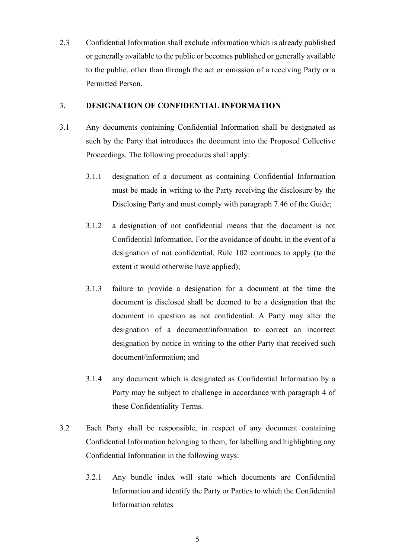2.3 Confidential Information shall exclude information which is already published or generally available to the public or becomes published or generally available to the public, other than through the act or omission of a receiving Party or a Permitted Person.

#### 3. **DESIGNATION OF CONFIDENTIAL INFORMATION**

- 3.1 Any documents containing Confidential Information shall be designated as such by the Party that introduces the document into the Proposed Collective Proceedings. The following procedures shall apply:
	- 3.1.1 designation of a document as containing Confidential Information must be made in writing to the Party receiving the disclosure by the Disclosing Party and must comply with paragraph 7.46 of the Guide;
	- 3.1.2 a designation of not confidential means that the document is not Confidential Information. For the avoidance of doubt, in the event of a designation of not confidential, Rule 102 continues to apply (to the extent it would otherwise have applied);
	- 3.1.3 failure to provide a designation for a document at the time the document is disclosed shall be deemed to be a designation that the document in question as not confidential. A Party may alter the designation of a document/information to correct an incorrect designation by notice in writing to the other Party that received such document/information; and
	- 3.1.4 any document which is designated as Confidential Information by a Party may be subject to challenge in accordance with paragraph [4](#page-5-0) of these Confidentiality Terms.
- 3.2 Each Party shall be responsible, in respect of any document containing Confidential Information belonging to them, for labelling and highlighting any Confidential Information in the following ways:
	- 3.2.1 Any bundle index will state which documents are Confidential Information and identify the Party or Parties to which the Confidential Information relates.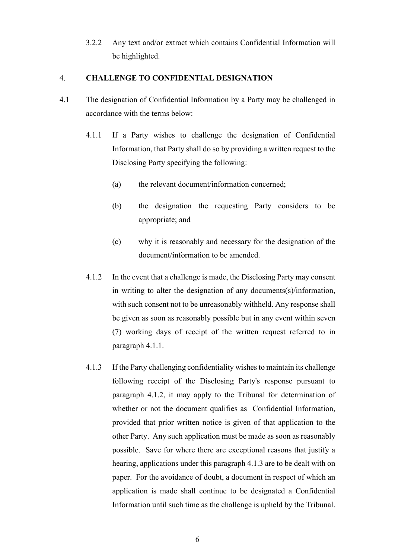3.2.2 Any text and/or extract which contains Confidential Information will be highlighted.

### <span id="page-5-0"></span>4. **CHALLENGE TO CONFIDENTIAL DESIGNATION**

- <span id="page-5-3"></span><span id="page-5-2"></span><span id="page-5-1"></span>4.1 The designation of Confidential Information by a Party may be challenged in accordance with the terms below:
	- 4.1.1 If a Party wishes to challenge the designation of Confidential Information, that Party shall do so by providing a written request to the Disclosing Party specifying the following:
		- (a) the relevant document/information concerned;
		- (b) the designation the requesting Party considers to be appropriate; and
		- (c) why it is reasonably and necessary for the designation of the document/information to be amended.
	- 4.1.2 In the event that a challenge is made, the Disclosing Party may consent in writing to alter the designation of any documents(s)/information, with such consent not to be unreasonably withheld. Any response shall be given as soon as reasonably possible but in any event within seven (7) working days of receipt of the written request referred to in paragraph [4.1.1.](#page-5-1)
	- 4.1.3 If the Party challenging confidentiality wishes to maintain its challenge following receipt of the Disclosing Party's response pursuant to paragraph [4.1.2,](#page-5-2) it may apply to the Tribunal for determination of whether or not the document qualifies as Confidential Information, provided that prior written notice is given of that application to the other Party. Any such application must be made as soon as reasonably possible. Save for where there are exceptional reasons that justify a hearing, applications under this paragrap[h 4.1.3](#page-5-3) are to be dealt with on paper. For the avoidance of doubt, a document in respect of which an application is made shall continue to be designated a Confidential Information until such time as the challenge is upheld by the Tribunal.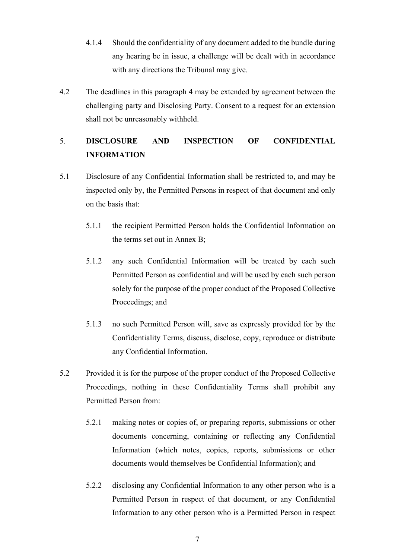- 4.1.4 Should the confidentiality of any document added to the bundle during any hearing be in issue, a challenge will be dealt with in accordance with any directions the Tribunal may give.
- 4.2 The deadlines in this paragraph [4](#page-5-0) may be extended by agreement between the challenging party and Disclosing Party. Consent to a request for an extension shall not be unreasonably withheld.

## 5. **DISCLOSURE AND INSPECTION OF CONFIDENTIAL INFORMATION**

- 5.1 Disclosure of any Confidential Information shall be restricted to, and may be inspected only by, the Permitted Persons in respect of that document and only on the basis that:
	- 5.1.1 the recipient Permitted Person holds the Confidential Information on the terms set out in Annex B;
	- 5.1.2 any such Confidential Information will be treated by each such Permitted Person as confidential and will be used by each such person solely for the purpose of the proper conduct of the Proposed Collective Proceedings; and
	- 5.1.3 no such Permitted Person will, save as expressly provided for by the Confidentiality Terms, discuss, disclose, copy, reproduce or distribute any Confidential Information.
- 5.2 Provided it is for the purpose of the proper conduct of the Proposed Collective Proceedings, nothing in these Confidentiality Terms shall prohibit any Permitted Person from:
	- 5.2.1 making notes or copies of, or preparing reports, submissions or other documents concerning, containing or reflecting any Confidential Information (which notes, copies, reports, submissions or other documents would themselves be Confidential Information); and
	- 5.2.2 disclosing any Confidential Information to any other person who is a Permitted Person in respect of that document, or any Confidential Information to any other person who is a Permitted Person in respect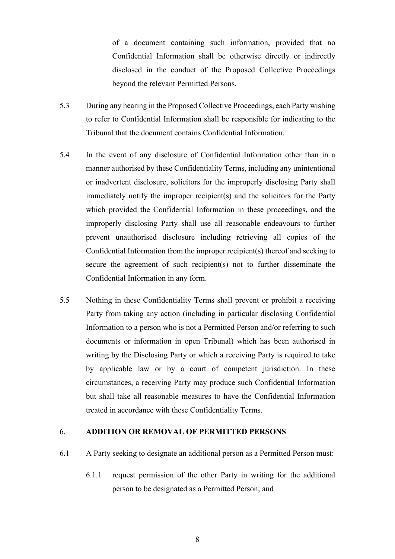of a document containing such information, provided that no Confidential Information shall be otherwise directly or indirectly disclosed in the conduct of the Proposed Collective Proceedings beyond the relevant Permitted Persons.

- 5.3 During any hearing in the Proposed Collective Proceedings, each Party wishing to refer to Confidential Information shall be responsible for indicating to the Tribunal that the document contains Confidential Information.
- 5.4 In the event of any disclosure of Confidential Information other than in a manner authorised by these Confidentiality Terms, including any unintentional or inadvertent disclosure, solicitors for the improperly disclosing Party shall immediately notify the improper recipient(s) and the solicitors for the Party which provided the Confidential Information in these proceedings, and the improperly disclosing Party shall use all reasonable endeavours to further prevent unauthorised disclosure including retrieving all copies of the Confidential Information from the improper recipient(s) thereof and seeking to secure the agreement of such recipient(s) not to further disseminate the Confidential Information in any form.
- 5.5 Nothing in these Confidentiality Terms shall prevent or prohibit a receiving Party from taking any action (including in particular disclosing Confidential Information to a person who is not a Permitted Person and/or referring to such documents or information in open Tribunal) which has been authorised in writing by the Disclosing Party or which a receiving Party is required to take by applicable law or by a court of competent jurisdiction. In these circumstances, a receiving Party may produce such Confidential Information but shall take all reasonable measures to have the Confidential Information treated in accordance with these Confidentiality Terms.

#### <span id="page-7-1"></span>6. **ADDITION OR REMOVAL OF PERMITTED PERSONS**

- <span id="page-7-0"></span>6.1 A Party seeking to designate an additional person as a Permitted Person must:
	- 6.1.1 request permission of the other Party in writing for the additional person to be designated as a Permitted Person; and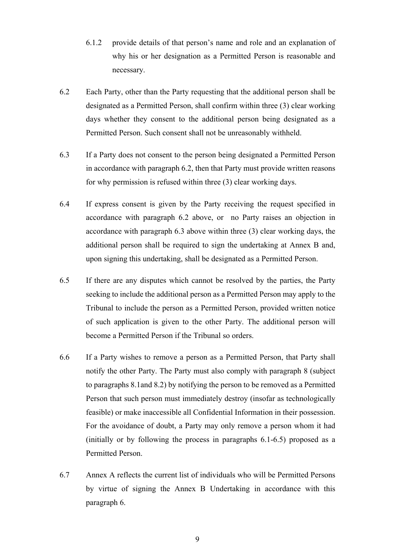- 6.1.2 provide details of that person's name and role and an explanation of why his or her designation as a Permitted Person is reasonable and necessary.
- <span id="page-8-0"></span>6.2 Each Party, other than the Party requesting that the additional person shall be designated as a Permitted Person, shall confirm within three (3) clear working days whether they consent to the additional person being designated as a Permitted Person. Such consent shall not be unreasonably withheld.
- <span id="page-8-1"></span>6.3 If a Party does not consent to the person being designated a Permitted Person in accordance with paragraph [6.2,](#page-8-0) then that Party must provide written reasons for why permission is refused within three (3) clear working days.
- 6.4 If express consent is given by the Party receiving the request specified in accordance with paragraph [6.2](#page-8-0) above, or no Party raises an objection in accordance with paragraph [6.3](#page-8-1) above within three (3) clear working days, the additional person shall be required to sign the undertaking at Annex B and, upon signing this undertaking, shall be designated as a Permitted Person.
- <span id="page-8-2"></span>6.5 If there are any disputes which cannot be resolved by the parties, the Party seeking to include the additional person as a Permitted Person may apply to the Tribunal to include the person as a Permitted Person, provided written notice of such application is given to the other Party. The additional person will become a Permitted Person if the Tribunal so orders.
- 6.6 If a Party wishes to remove a person as a Permitted Person, that Party shall notify the other Party. The Party must also comply with paragraph [8](#page-10-0) (subject to paragraphs [8.1a](#page-10-1)nd [8.2\)](#page-10-2) by notifying the person to be removed as a Permitted Person that such person must immediately destroy (insofar as technologically feasible) or make inaccessible all Confidential Information in their possession. For the avoidance of doubt, a Party may only remove a person whom it had (initially or by following the process in paragraphs [6.1-](#page-7-0)[6.5\)](#page-8-2) proposed as a Permitted Person.
- 6.7 Annex A reflects the current list of individuals who will be Permitted Persons by virtue of signing the Annex B Undertaking in accordance with this paragraph [6.](#page-7-1)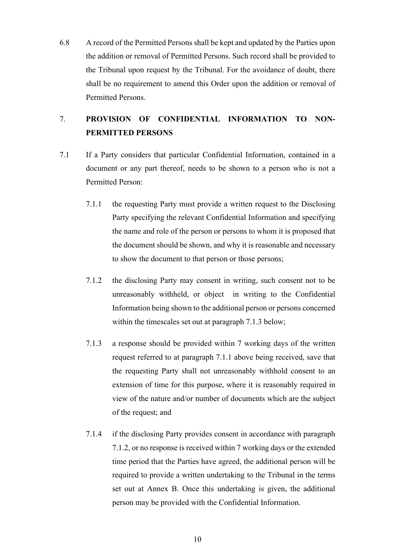6.8 A record of the Permitted Persons shall be kept and updated by the Parties upon the addition or removal of Permitted Persons. Such record shall be provided to the Tribunal upon request by the Tribunal. For the avoidance of doubt, there shall be no requirement to amend this Order upon the addition or removal of Permitted Persons.

## 7. **PROVISION OF CONFIDENTIAL INFORMATION TO NON-PERMITTED PERSONS**

- <span id="page-9-2"></span><span id="page-9-1"></span><span id="page-9-0"></span>7.1 If a Party considers that particular Confidential Information, contained in a document or any part thereof, needs to be shown to a person who is not a Permitted Person:
	- 7.1.1 the requesting Party must provide a written request to the Disclosing Party specifying the relevant Confidential Information and specifying the name and role of the person or persons to whom it is proposed that the document should be shown, and why it is reasonable and necessary to show the document to that person or those persons;
	- 7.1.2 the disclosing Party may consent in writing, such consent not to be unreasonably withheld, or object in writing to the Confidential Information being shown to the additional person or persons concerned within the timescales set out at paragraph [7.1.3](#page-9-0) below;
	- 7.1.3 a response should be provided within 7 working days of the written request referred to at paragraph [7.1.1](#page-9-1) above being received, save that the requesting Party shall not unreasonably withhold consent to an extension of time for this purpose, where it is reasonably required in view of the nature and/or number of documents which are the subject of the request; and
	- 7.1.4 if the disclosing Party provides consent in accordance with paragraph [7.1.2,](#page-9-2) or no response is received within 7 working days or the extended time period that the Parties have agreed, the additional person will be required to provide a written undertaking to the Tribunal in the terms set out at Annex B. Once this undertaking is given, the additional person may be provided with the Confidential Information.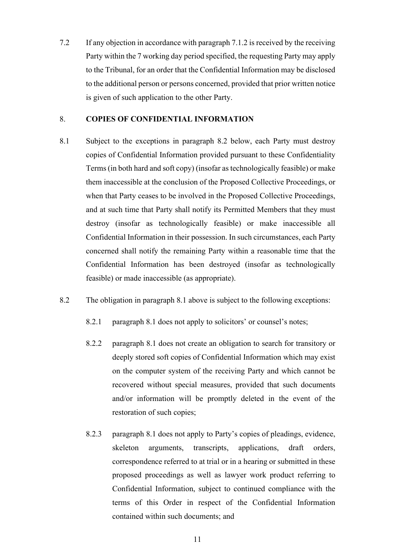7.2 If any objection in accordance with paragraph [7.1.2](#page-9-2) is received by the receiving Party within the 7 working day period specified, the requesting Party may apply to the Tribunal, for an order that the Confidential Information may be disclosed to the additional person or persons concerned, provided that prior written notice is given of such application to the other Party.

#### <span id="page-10-0"></span>8. **COPIES OF CONFIDENTIAL INFORMATION**

- <span id="page-10-1"></span>8.1 Subject to the exceptions in paragraph 8.2 below, each Party must destroy copies of Confidential Information provided pursuant to these Confidentiality Terms (in both hard and soft copy) (insofar as technologically feasible) or make them inaccessible at the conclusion of the Proposed Collective Proceedings, or when that Party ceases to be involved in the Proposed Collective Proceedings, and at such time that Party shall notify its Permitted Members that they must destroy (insofar as technologically feasible) or make inaccessible all Confidential Information in their possession. In such circumstances, each Party concerned shall notify the remaining Party within a reasonable time that the Confidential Information has been destroyed (insofar as technologically feasible) or made inaccessible (as appropriate).
- <span id="page-10-2"></span>8.2 The obligation in paragraph [8.1](#page-10-1) above is subject to the following exceptions:
	- 8.2.1 paragraph [8.1](#page-10-1) does not apply to solicitors' or counsel's notes;
	- 8.2.2 paragraph [8.1](#page-10-1) does not create an obligation to search for transitory or deeply stored soft copies of Confidential Information which may exist on the computer system of the receiving Party and which cannot be recovered without special measures, provided that such documents and/or information will be promptly deleted in the event of the restoration of such copies;
	- 8.2.3 paragraph [8.1](#page-10-1) does not apply to Party's copies of pleadings, evidence, skeleton arguments, transcripts, applications, draft orders, correspondence referred to at trial or in a hearing or submitted in these proposed proceedings as well as lawyer work product referring to Confidential Information, subject to continued compliance with the terms of this Order in respect of the Confidential Information contained within such documents; and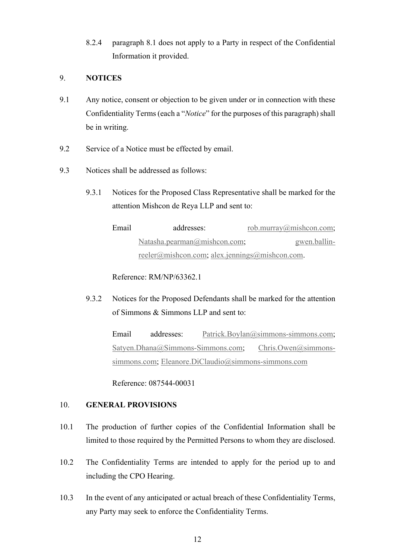8.2.4 paragraph [8.1](#page-10-1) does not apply to a Party in respect of the Confidential Information it provided.

## 9. **NOTICES**

- 9.1 Any notice, consent or objection to be given under or in connection with these Confidentiality Terms (each a "*Notice*" for the purposes of this paragraph) shall be in writing.
- 9.2 Service of a Notice must be effected by email.
- 9.3 Notices shall be addressed as follows:
	- 9.3.1 Notices for the Proposed Class Representative shall be marked for the attention Mishcon de Reya LLP and sent to:

Email addresses: [rob.murray@mishcon.com;](mailto:rob.murray@mishcon.com) [Natasha.pearman@mishcon.com;](mailto:Natasha.pearman@mishcon.com) [gwen.ballin](mailto:gwen.ballin-reeler@mishcon.com)[reeler@mishcon.com;](mailto:gwen.ballin-reeler@mishcon.com) [alex.jennings@mishcon.com.](mailto:alex.jennings@mishcon.com)

Reference: RM/NP/63362.1

9.3.2 Notices for the Proposed Defendants shall be marked for the attention of Simmons & Simmons LLP and sent to:

> Email addresses: [Patrick.Boylan@simmons-simmons.com;](mailto:Patrick.Boylan@simmons-simmons.com) [Satyen.Dhana@Simmons-Simmons.com;](mailto:Satyen.Dhana@Simmons-Simmons.com) [Chris.Owen@simmons](mailto:Chris.Owen@simmons-simmons.com)[simmons.com;](mailto:Chris.Owen@simmons-simmons.com) [Eleanore.DiClaudio@simmons-simmons.com](mailto:Eleanore.DiClaudio@simmons-simmons.com)

Reference: 087544-00031

## 10. **GENERAL PROVISIONS**

- 10.1 The production of further copies of the Confidential Information shall be limited to those required by the Permitted Persons to whom they are disclosed.
- 10.2 The Confidentiality Terms are intended to apply for the period up to and including the CPO Hearing.
- 10.3 In the event of any anticipated or actual breach of these Confidentiality Terms, any Party may seek to enforce the Confidentiality Terms.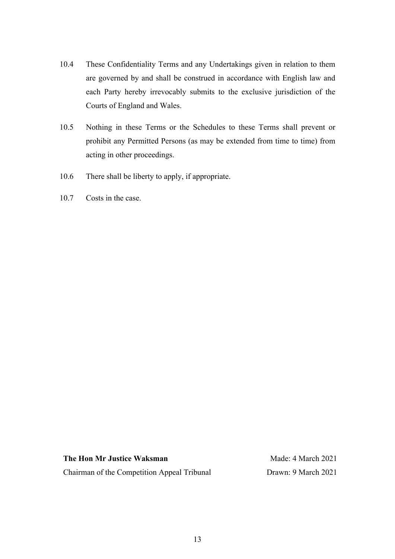- 10.4 These Confidentiality Terms and any Undertakings given in relation to them are governed by and shall be construed in accordance with English law and each Party hereby irrevocably submits to the exclusive jurisdiction of the Courts of England and Wales.
- 10.5 Nothing in these Terms or the Schedules to these Terms shall prevent or prohibit any Permitted Persons (as may be extended from time to time) from acting in other proceedings.
- 10.6 There shall be liberty to apply, if appropriate.
- 10.7 Costs in the case.

**The Hon Mr Justice Waksman** Chairman of the Competition Appeal Tribunal

Made: 4 March 2021 Drawn: 9 March 2021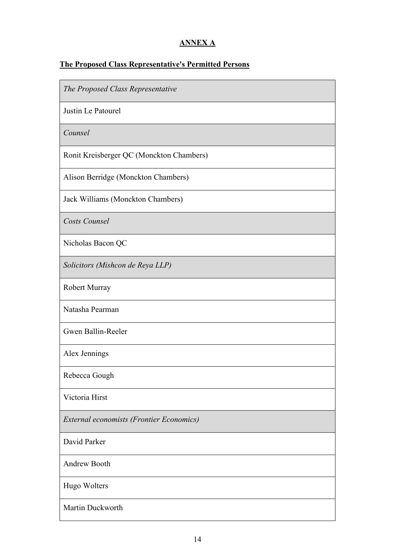## **ANNEX A**

# **The Proposed Class Representative's Permitted Persons**

| The Proposed Class Representative        |
|------------------------------------------|
| Justin Le Patourel                       |
| Counsel                                  |
| Ronit Kreisberger QC (Monckton Chambers) |
| Alison Berridge (Monckton Chambers)      |
| Jack Williams (Monckton Chambers)        |
| Costs Counsel                            |
| Nicholas Bacon QC                        |
| Solicitors (Mishcon de Reya LLP)         |
| Robert Murray                            |
| Natasha Pearman                          |
| Gwen Ballin-Reeler                       |
| Alex Jennings                            |
| Rebecca Gough                            |
| Victoria Hirst                           |
| External economists (Frontier Economics) |
| David Parker                             |
| Andrew Booth                             |
| Hugo Wolters                             |
| Martin Duckworth                         |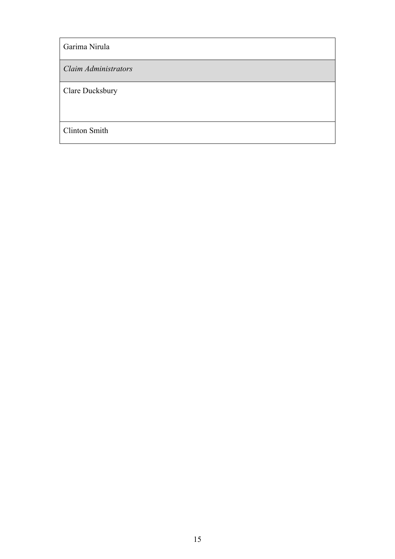Garima Nirula

*Claim Administrators*

Clare Ducksbury

Clinton Smith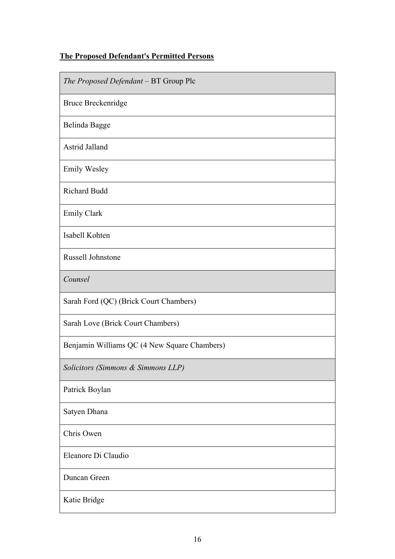## **The Proposed Defendant's Permitted Persons**

| The Proposed Defendant - BT Group Plc        |
|----------------------------------------------|
| Bruce Breckenridge                           |
| Belinda Bagge                                |
| Astrid Jalland                               |
| <b>Emily Wesley</b>                          |
| Richard Budd                                 |
| <b>Emily Clark</b>                           |
| Isabell Kohten                               |
| Russell Johnstone                            |
| Counsel                                      |
| Sarah Ford (QC) (Brick Court Chambers)       |
| Sarah Love (Brick Court Chambers)            |
| Benjamin Williams QC (4 New Square Chambers) |
| Solicitors (Simmons & Simmons LLP)           |
| Patrick Boylan                               |
| Satyen Dhana                                 |
| Chris Owen                                   |
| Eleanore Di Claudio                          |
| Duncan Green                                 |
| Katie Bridge                                 |
|                                              |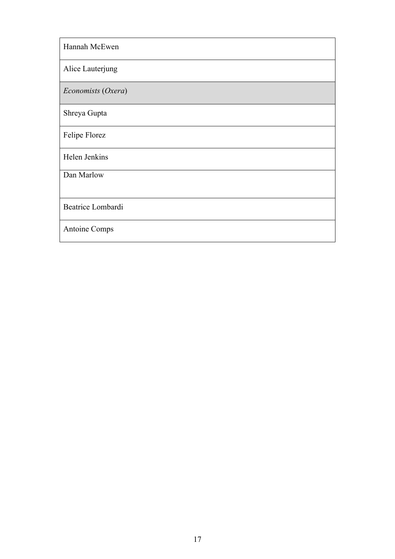| Hannah McEwen      |
|--------------------|
| Alice Lauterjung   |
| Economists (Oxera) |
| Shreya Gupta       |
| Felipe Florez      |
| Helen Jenkins      |
| Dan Marlow         |
| Beatrice Lombardi  |
| Antoine Comps      |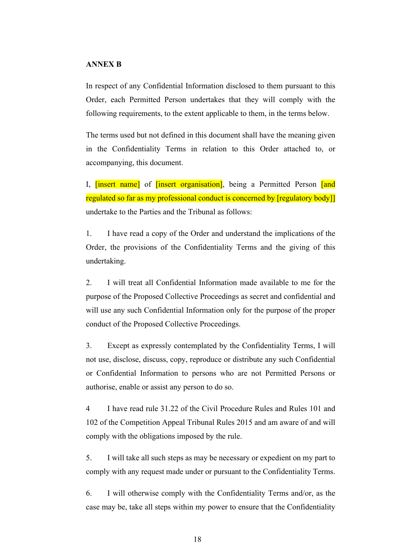### **ANNEX B**

In respect of any Confidential Information disclosed to them pursuant to this Order, each Permitted Person undertakes that they will comply with the following requirements, to the extent applicable to them, in the terms below.

The terms used but not defined in this document shall have the meaning given in the Confidentiality Terms in relation to this Order attached to, or accompanying, this document.

I, [insert name] of *[insert organisation]*, being a Permitted Person [and regulated so far as my professional conduct is concerned by [regulatory body]] undertake to the Parties and the Tribunal as follows:

1. I have read a copy of the Order and understand the implications of the Order, the provisions of the Confidentiality Terms and the giving of this undertaking.

2. I will treat all Confidential Information made available to me for the purpose of the Proposed Collective Proceedings as secret and confidential and will use any such Confidential Information only for the purpose of the proper conduct of the Proposed Collective Proceedings.

3. Except as expressly contemplated by the Confidentiality Terms, I will not use, disclose, discuss, copy, reproduce or distribute any such Confidential or Confidential Information to persons who are not Permitted Persons or authorise, enable or assist any person to do so.

4 I have read rule 31.22 of the Civil Procedure Rules and Rules 101 and 102 of the Competition Appeal Tribunal Rules 2015 and am aware of and will comply with the obligations imposed by the rule.

5. I will take all such steps as may be necessary or expedient on my part to comply with any request made under or pursuant to the Confidentiality Terms.

6. I will otherwise comply with the Confidentiality Terms and/or, as the case may be, take all steps within my power to ensure that the Confidentiality